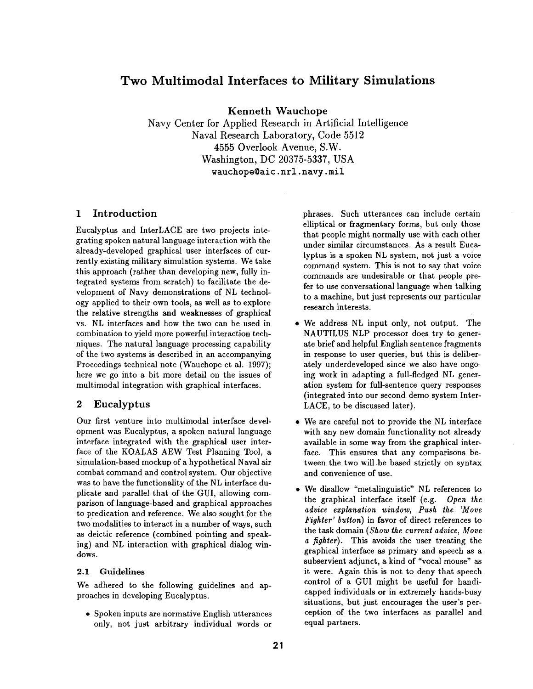# **Two Multimodal Interfaces to Military Simulations**

Kenneth Wauchope

Navy Center for Applied Research in Artificial Intelligence Naval Research Laboratory, Code 5512 4555 Overlook Avenue, S.W. Washington, DC 20375-5337, USA wauchope@aic.nrl.navy.mil

## 1 Introduction

Eucalyptus and InterLACE are two projects integrating spoken natural language interaction with the already-developed graphical user interfaces of currently existing military simulation systems. We take this approach (rather than developing new, fully integrated systems from scratch) to facilitate the development of Navy demonstrations of NL technology applied to their own tools, as well as to explore the relative strengths and weaknesses of graphical vs. NL interfaces and how the two can be used in combination to yield more powerful interaction techniques. The natural language processing capability of the two systems is described in an accompanying Proceedings technical note (Wauchope et al. 1997); here we go into a bit more detail on the issues of multimodal integration with graphical interfaces.

# 2 Eucalyptus

Our first venture into multimodal interface development was Eucalyptus, a spoken natural language interface integrated with the graphical user interface of the KOALAS AEW Test Planning Tool, a simulation-based mockup of a hypothetical Naval air combat command and control system. Our objective was to have the functionality of the NL interface duplicate and parallel that of the GUI, allowing comparison of language-based and graphical approaches to predication and reference. We also sought for the two modalities to interact in a number of ways, such as deictic reference (combined pointing and speaking) and NL interaction with graphical dialog windows.

#### 2.1 Guidelines

We adhered to the following guidelines and approaches in developing Eucalyptus.

• Spoken inputs are normative English utterances only, not just arbitrary individual words or phrases. Such utterances can include certain elliptical or fragmentary forms, but only those that people might normally use with each other under similar circumstances. As a result Eucalyptus is a spoken NL system, not just a voice command system. This is not to say that voice commands are undesirable or that people prefer to use conversational language when talking to a machine, but just represents our particular research interests.

- We address NL input only, not output. The NAUTILUS NLP processor does try to generate brief and helpful English sentence fragments in response to user queries, but this is deliberately underdeveloped since we also have ongoing work in adapting a full-fledged NL generation system for full-sentence query responses (integrated into our second demo system Inter-LACE, to be discussed later).
- We are careful not to provide the NL interface with any new domain functionality not already available in some way from the graphical interface. This ensures that any comparisons between the two will be based strictly on syntax and convenience of use.
- We disallow "metalinguistic" NL references to the graphical interface itself (e.g. *Open the advice explanation window, Push the 'Move Fighter' button)* in favor of direct references to the task domain *(Show the current advice, Move a fighter).* This avoids the user treating the graphical interface as primary and speech as a subservient adjunct, a kind of "vocal mouse" as it were. Again this is not to deny that speech control of a GUI might be useful for handicapped individuals or in extremely hands-busy situations, but just encourages the user's perception of the two interfaces as parallel and equal partners.